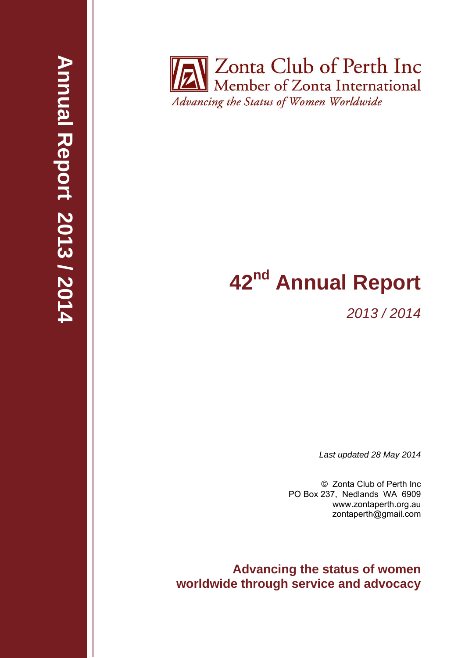**Zonta Club of Perth Inc** Member of Zonta International Advancing the Status of Women Worldwide

# **42<sup>nd</sup> Annual Report**

*2013 / 2014* 

*Last updated 28 May 2014* 

© Zonta Club of Perth Inc PO Box 237, Nedlands WA 6909 www.zontaperth.org.au zontaperth@gmail.com

**Advancing the status of women worldwide through service and advocacy**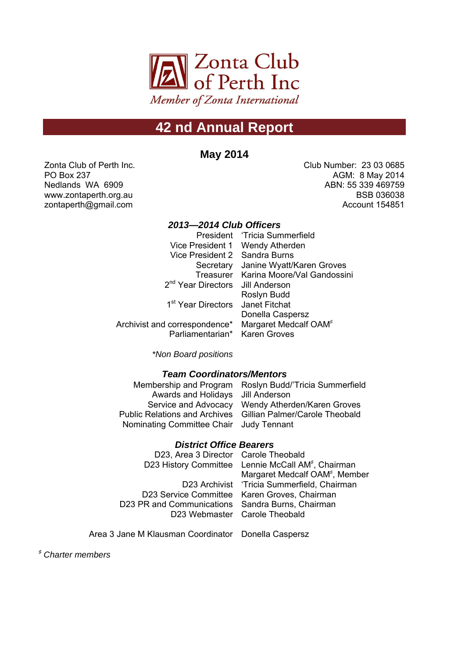

## **42 nd Annual Report**

**May 2014**

Zonta Club of Perth Inc. PO Box 237 Nedlands WA 6909 www.zontaperth.org.au zontaperth@gmail.com

Club Number: 23 03 0685 AGM: 8 May 2014 ABN: 55 339 469759 BSB 036038 Account 154851

#### *2013—2014 Club Officers*

|                                              | President 'Tricia Summerfield         |
|----------------------------------------------|---------------------------------------|
|                                              | Vice President 1 Wendy Atherden       |
| Vice President 2 Sandra Burns                |                                       |
| Secretary                                    | Janine Wyatt/Karen Groves             |
|                                              | Treasurer Karina Moore/Val Gandossini |
| 2 <sup>nd</sup> Year Directors Jill Anderson |                                       |
|                                              | Roslyn Budd                           |
| 1 <sup>st</sup> Year Directors               | Janet Fitchat                         |
|                                              | Donella Caspersz                      |
| Archivist and correspondence*                | Margaret Medcalf OAM <sup>#</sup>     |
| Parliamentarian* Karen Groves                |                                       |
|                                              |                                       |

*\*Non Board positions*

## *Team Coordinators/Mentors*

| Membership and Program Roslyn Budd/'Tricia Summerfield       |
|--------------------------------------------------------------|
| Awards and Holidays Jill Anderson                            |
| Service and Advocacy Wendy Atherden/Karen Groves             |
| Public Relations and Archives Gillian Palmer/Carole Theobald |
| Nominating Committee Chair Judy Tennant                      |
|                                                              |

#### *District Office Bearers*

D23, Area 3 Director Carole Theobald D23 History Committee Lennie McCall AM<sup>#</sup>, Chairman D23 Archivist 'Tricia Summerfield, Chairman D23 Service Committee Karen Groves, Chairman D23 PR and Communications Sandra Burns, Chairman D23 Webmaster Carole Theobald Margaret Medcalf OAM<sup>#</sup>, Member

Area 3 Jane M Klausman Coordinator Donella Caspersz

<sup>♯</sup> *Charter members*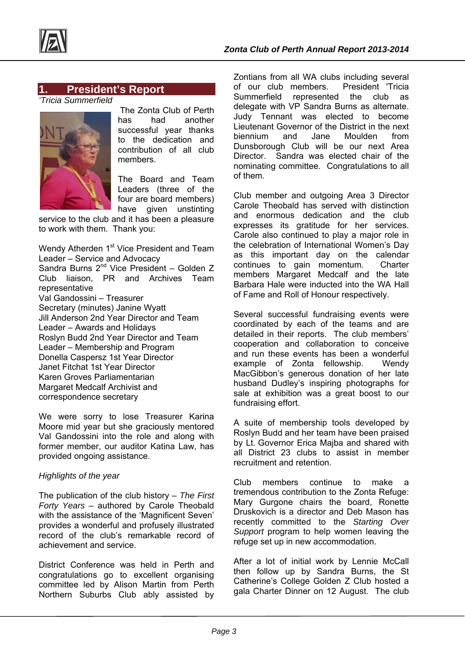

## **1. President's Report**

*'Tricia Summerfield* 



The Zonta Club of Perth has had another successful year thanks to the dedication and contribution of all club members.

The Board and Team Leaders (three of the four are board members)

have given unstinting service to the club and it has been a pleasure to work with them. Thank you:

Wendy Atherden 1<sup>st</sup> Vice President and Team Leader – Service and Advocacy Sandra Burns 2<sup>nd</sup> Vice President - Golden Z Club liaison, PR and Archives Team representative Val Gandossini – Treasurer Secretary (minutes) Janine Wyatt Jill Anderson 2nd Year Director and Team Leader – Awards and Holidays Roslyn Budd 2nd Year Director and Team Leader – Membership and Program Donella Caspersz 1st Year Director Janet Fitchat 1st Year Director Karen Groves Parliamentarian Margaret Medcalf Archivist and correspondence secretary

We were sorry to lose Treasurer Karina Moore mid year but she graciously mentored Val Gandossini into the role and along with former member, our auditor Katina Law, has provided ongoing assistance.

#### *Highlights of the year*

The publication of the club history – *The First Forty Years* – authored by Carole Theobald with the assistance of the 'Magnificent Seven' provides a wonderful and profusely illustrated record of the club's remarkable record of achievement and service.

District Conference was held in Perth and congratulations go to excellent organising committee led by Alison Martin from Perth Northern Suburbs Club ably assisted by Zontians from all WA clubs including several of our club members. President 'Tricia Summerfield represented the club as delegate with VP Sandra Burns as alternate. Judy Tennant was elected to become Lieutenant Governor of the District in the next biennium and Jane Moulden from Dunsborough Club will be our next Area Director. Sandra was elected chair of the nominating committee. Congratulations to all of them.

Club member and outgoing Area 3 Director Carole Theobald has served with distinction and enormous dedication and the club expresses its gratitude for her services. Carole also continued to play a major role in the celebration of International Women's Day as this important day on the calendar continues to gain momentum. Charter members Margaret Medcalf and the late Barbara Hale were inducted into the WA Hall of Fame and Roll of Honour respectively.

Several successful fundraising events were coordinated by each of the teams and are detailed in their reports. The club members' cooperation and collaboration to conceive and run these events has been a wonderful example of Zonta fellowship. Wendy MacGibbon's generous donation of her late husband Dudley's inspiring photographs for sale at exhibition was a great boost to our fundraising effort.

A suite of membership tools developed by Roslyn Budd and her team have been praised by Lt. Governor Erica Majba and shared with all District 23 clubs to assist in member recruitment and retention.

Club members continue to make a tremendous contribution to the Zonta Refuge: Mary Gurgone chairs the board, Ronette Druskovich is a director and Deb Mason has recently committed to the *Starting Over Support* program to help women leaving the refuge set up in new accommodation.

After a lot of initial work by Lennie McCall then follow up by Sandra Burns, the St Catherine's College Golden Z Club hosted a gala Charter Dinner on 12 August. The club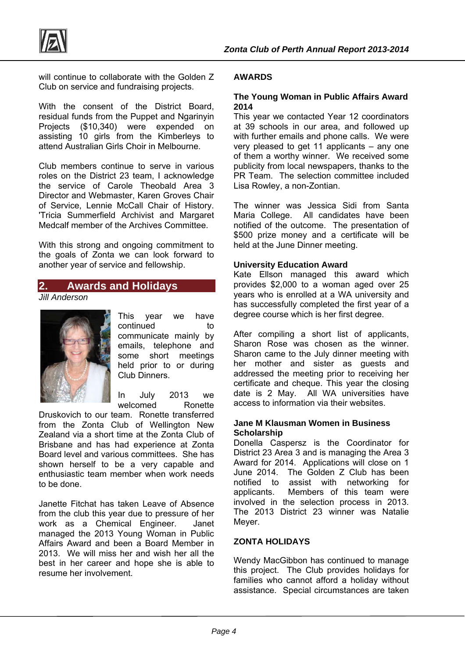

will continue to collaborate with the Golden Z Club on service and fundraising projects.

With the consent of the District Board, residual funds from the Puppet and Ngarinyin Projects (\$10,340) were expended on assisting 10 girls from the Kimberleys to attend Australian Girls Choir in Melbourne.

Club members continue to serve in various roles on the District 23 team, I acknowledge the service of Carole Theobald Area 3 Director and Webmaster, Karen Groves Chair of Service, Lennie McCall Chair of History. 'Tricia Summerfield Archivist and Margaret Medcalf member of the Archives Committee.

With this strong and ongoing commitment to the goals of Zonta we can look forward to another year of service and fellowship.

## **2. Awards and Holidays**

*Jill Anderson* 



This year we have continued to communicate mainly by emails, telephone and some short meetings held prior to or during Club Dinners.

In July 2013 we welcomed Ronette

Druskovich to our team. Ronette transferred from the Zonta Club of Wellington New Zealand via a short time at the Zonta Club of Brisbane and has had experience at Zonta Board level and various committees. She has shown herself to be a very capable and enthusiastic team member when work needs to be done.

Janette Fitchat has taken Leave of Absence from the club this year due to pressure of her work as a Chemical Engineer. Janet managed the 2013 Young Woman in Public Affairs Award and been a Board Member in 2013. We will miss her and wish her all the best in her career and hope she is able to resume her involvement.

#### **AWARDS**

#### **The Young Woman in Public Affairs Award 2014**

This year we contacted Year 12 coordinators at 39 schools in our area, and followed up with further emails and phone calls. We were very pleased to get 11 applicants – any one of them a worthy winner. We received some publicity from local newspapers, thanks to the PR Team. The selection committee included Lisa Rowley, a non-Zontian.

The winner was Jessica Sidi from Santa Maria College. All candidates have been notified of the outcome. The presentation of \$500 prize money and a certificate will be held at the June Dinner meeting.

#### **University Education Award**

Kate Ellson managed this award which provides \$2,000 to a woman aged over 25 years who is enrolled at a WA university and has successfully completed the first year of a degree course which is her first degree.

After compiling a short list of applicants, Sharon Rose was chosen as the winner. Sharon came to the July dinner meeting with her mother and sister as guests and addressed the meeting prior to receiving her certificate and cheque. This year the closing date is 2 May. All WA universities have access to information via their websites.

#### **Jane M Klausman Women in Business Scholarship**

Donella Caspersz is the Coordinator for District 23 Area 3 and is managing the Area 3 Award for 2014. Applications will close on 1 June 2014. The Golden Z Club has been notified to assist with networking for applicants. Members of this team were involved in the selection process in 2013. The 2013 District 23 winner was Natalie Meyer.

#### **ZONTA HOLIDAYS**

Wendy MacGibbon has continued to manage this project. The Club provides holidays for families who cannot afford a holiday without assistance. Special circumstances are taken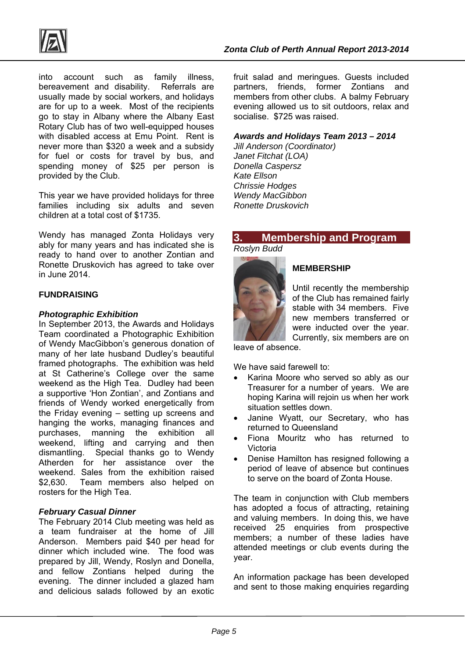

into account such as family illness, bereavement and disability. Referrals are usually made by social workers, and holidays are for up to a week. Most of the recipients go to stay in Albany where the Albany East Rotary Club has of two well-equipped houses with disabled access at Emu Point. Rent is never more than \$320 a week and a subsidy for fuel or costs for travel by bus, and spending money of \$25 per person is provided by the Club.

This year we have provided holidays for three families including six adults and seven children at a total cost of \$1735.

Wendy has managed Zonta Holidays very ably for many years and has indicated she is ready to hand over to another Zontian and Ronette Druskovich has agreed to take over in June 2014.

#### **FUNDRAISING**

#### *Photographic Exhibition*

In September 2013, the Awards and Holidays Team coordinated a Photographic Exhibition of Wendy MacGibbon's generous donation of many of her late husband Dudley's beautiful framed photographs. The exhibition was held at St Catherine's College over the same weekend as the High Tea. Dudley had been a supportive 'Hon Zontian', and Zontians and friends of Wendy worked energetically from the Friday evening – setting up screens and hanging the works, managing finances and purchases, manning the exhibition all weekend, lifting and carrying and then dismantling. Special thanks go to Wendy Atherden for her assistance over the weekend. Sales from the exhibition raised \$2,630. Team members also helped on rosters for the High Tea.

#### *February Casual Dinner*

The February 2014 Club meeting was held as a team fundraiser at the home of Jill Anderson. Members paid \$40 per head for dinner which included wine. The food was prepared by Jill, Wendy, Roslyn and Donella, and fellow Zontians helped during the evening. The dinner included a glazed ham and delicious salads followed by an exotic fruit salad and meringues. Guests included partners, friends, former Zontians and members from other clubs. A balmy February evening allowed us to sit outdoors, relax and socialise. \$725 was raised.

#### *Awards and Holidays Team 2013 – 2014*

*Jill Anderson (Coordinator) Janet Fitchat (LOA) Donella Caspersz Kate Ellson Chrissie Hodges Wendy MacGibbon Ronette Druskovich* 

## **3. Membership and Program**

*Roslyn Budd* 



## **MEMBERSHIP**

Until recently the membership of the Club has remained fairly stable with 34 members. Five new members transferred or were inducted over the year. Currently, six members are on

leave of absence.

We have said farewell to:

- Karina Moore who served so ably as our Treasurer for a number of years. We are hoping Karina will rejoin us when her work situation settles down.
- Janine Wyatt, our Secretary, who has returned to Queensland
- Fiona Mouritz who has returned to Victoria
- Denise Hamilton has resigned following a period of leave of absence but continues to serve on the board of Zonta House.

The team in conjunction with Club members has adopted a focus of attracting, retaining and valuing members. In doing this, we have received 25 enquiries from prospective members; a number of these ladies have attended meetings or club events during the year.

An information package has been developed and sent to those making enquiries regarding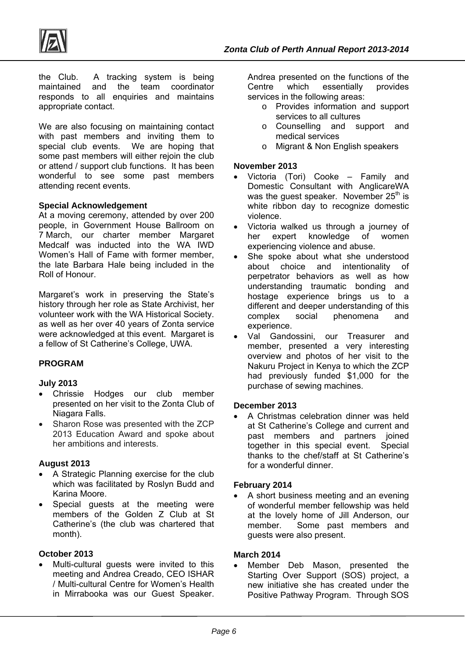

the Club. A tracking system is being maintained and the team coordinator responds to all enquiries and maintains appropriate contact.

We are also focusing on maintaining contact with past members and inviting them to special club events. We are hoping that some past members will either rejoin the club or attend / support club functions. It has been wonderful to see some past members attending recent events.

#### **Special Acknowledgement**

At a moving ceremony, attended by over 200 people, in Government House Ballroom on 7 March, our charter member Margaret Medcalf was inducted into the WA IWD Women's Hall of Fame with former member, the late Barbara Hale being included in the Roll of Honour.

Margaret's work in preserving the State's history through her role as State Archivist, her volunteer work with the WA Historical Society. as well as her over 40 years of Zonta service were acknowledged at this event. Margaret is a fellow of St Catherine's College, UWA.

## **PROGRAM**

#### **July 2013**

- Chrissie Hodges our club member presented on her visit to the Zonta Club of Niagara Falls.
- Sharon Rose was presented with the ZCP 2013 Education Award and spoke about her ambitions and interests.

#### **August 2013**

- A Strategic Planning exercise for the club which was facilitated by Roslyn Budd and Karina Moore.
- Special guests at the meeting were members of the Golden Z Club at St Catherine's (the club was chartered that month).

#### **October 2013**

 Multi-cultural guests were invited to this meeting and Andrea Creado, CEO ISHAR / Multi-cultural Centre for Women's Health in Mirrabooka was our Guest Speaker.

Andrea presented on the functions of the Centre which essentially provides services in the following areas:

- o Provides information and support services to all cultures
- o Counselling and support and medical services
- o Migrant & Non English speakers

#### **November 2013**

- Victoria (Tori) Cooke Family and Domestic Consultant with AnglicareWA was the quest speaker. November  $25<sup>th</sup>$  is white ribbon day to recognize domestic violence.
- Victoria walked us through a journey of her expert knowledge of women experiencing violence and abuse.
- She spoke about what she understood about choice and intentionality of perpetrator behaviors as well as how understanding traumatic bonding and hostage experience brings us to a different and deeper understanding of this complex social phenomena and experience.
- Val Gandossini, our Treasurer and member, presented a very interesting overview and photos of her visit to the Nakuru Project in Kenya to which the ZCP had previously funded \$1,000 for the purchase of sewing machines.

#### **December 2013**

 A Christmas celebration dinner was held at St Catherine's College and current and past members and partners joined together in this special event. Special thanks to the chef/staff at St Catherine's for a wonderful dinner.

#### **February 2014**

 A short business meeting and an evening of wonderful member fellowship was held at the lovely home of Jill Anderson, our member. Some past members and guests were also present.

#### **March 2014**

 Member Deb Mason, presented the Starting Over Support (SOS) project, a new initiative she has created under the Positive Pathway Program. Through SOS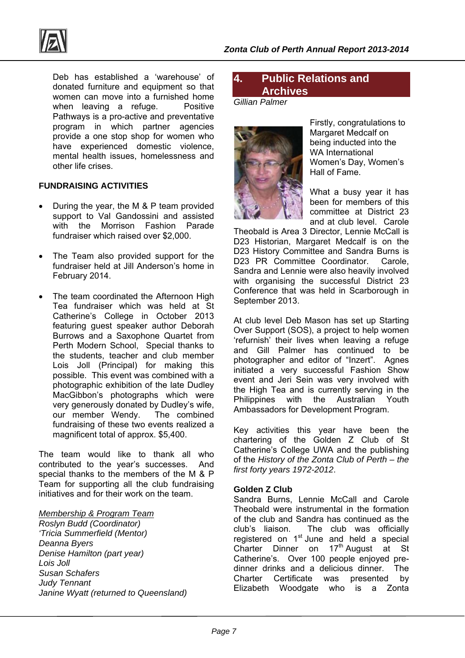

Deb has established a 'warehouse' of donated furniture and equipment so that women can move into a furnished home when leaving a refuge. Positive Pathways is a pro-active and preventative program in which partner agencies provide a one stop shop for women who have experienced domestic violence, mental health issues, homelessness and other life crises.

## **FUNDRAISING ACTIVITIES**

- During the year, the M & P team provided support to Val Gandossini and assisted with the Morrison Fashion Parade fundraiser which raised over \$2,000.
- The Team also provided support for the fundraiser held at Jill Anderson's home in February 2014.
- The team coordinated the Afternoon High Tea fundraiser which was held at St Catherine's College in October 2013 featuring guest speaker author Deborah Burrows and a Saxophone Quartet from Perth Modern School, Special thanks to the students, teacher and club member Lois Joll (Principal) for making this possible. This event was combined with a photographic exhibition of the late Dudley MacGibbon's photographs which were very generously donated by Dudley's wife, our member Wendy. The combined fundraising of these two events realized a magnificent total of approx. \$5,400.

The team would like to thank all who contributed to the year's successes. And special thanks to the members of the M & P Team for supporting all the club fundraising initiatives and for their work on the team.

#### *Membership & Program Team*

*Roslyn Budd (Coordinator) 'Tricia Summerfield (Mentor) Deanna Byers Denise Hamilton (part year) Lois Joll Susan Schafers Judy Tennant Janine Wyatt (returned to Queensland)* 

## **4. Public Relations and Archives**

*Gillian Palmer* 



Firstly, congratulations to Margaret Medcalf on being inducted into the WA International Women's Day, Women's Hall of Fame.

What a busy year it has been for members of this committee at District 23 and at club level. Carole

Theobald is Area 3 Director, Lennie McCall is D23 Historian, Margaret Medcalf is on the D23 History Committee and Sandra Burns is D23 PR Committee Coordinator. Carole, Sandra and Lennie were also heavily involved with organising the successful District 23 Conference that was held in Scarborough in September 2013.

At club level Deb Mason has set up Starting Over Support (SOS), a project to help women 'refurnish' their lives when leaving a refuge and Gill Palmer has continued to be photographer and editor of "Inzert". Agnes initiated a very successful Fashion Show event and Jeri Sein was very involved with the High Tea and is currently serving in the Philippines with the Australian Youth Ambassadors for Development Program.

Key activities this year have been the chartering of the Golden Z Club of St Catherine's College UWA and the publishing of the *History of the Zonta Club of Perth – the first forty years 1972-2012*.

#### **Golden Z Club**

Sandra Burns, Lennie McCall and Carole Theobald were instrumental in the formation of the club and Sandra has continued as the club's liaison. The club was officially registered on 1<sup>st</sup> June and held a special Charter Dinner on 17<sup>th</sup> August at St Catherine's. Over 100 people enjoyed predinner drinks and a delicious dinner. The<br>Charter Certificate was presented by Charter Certificate was presented by Elizabeth Woodgate who is a Zonta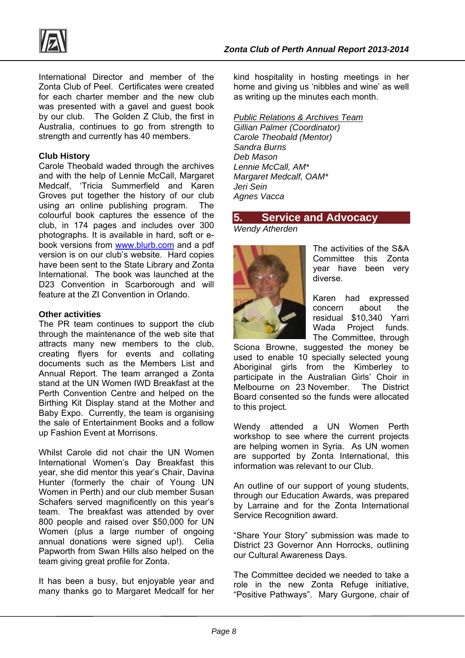



International Director and member of the Zonta Club of Peel. Certificates were created for each charter member and the new club was presented with a gavel and guest book by our club. The Golden Z Club, the first in Australia, continues to go from strength to strength and currently has 40 members.

#### **Club History**

Carole Theobald waded through the archives and with the help of Lennie McCall, Margaret Medcalf, 'Tricia Summerfield and Karen Groves put together the history of our club using an online publishing program. The colourful book captures the essence of the club, in 174 pages and includes over 300 photographs. It is available in hard, soft or ebook versions from www.blurb.com and a pdf version is on our club's website. Hard copies have been sent to the State Library and Zonta International. The book was launched at the D23 Convention in Scarborough and will feature at the ZI Convention in Orlando.

#### **Other activities**

The PR team continues to support the club through the maintenance of the web site that attracts many new members to the club, creating flyers for events and collating documents such as the Members List and Annual Report. The team arranged a Zonta stand at the UN Women IWD Breakfast at the Perth Convention Centre and helped on the Birthing Kit Display stand at the Mother and Baby Expo. Currently, the team is organising the sale of Entertainment Books and a follow up Fashion Event at Morrisons.

Whilst Carole did not chair the UN Women International Women's Day Breakfast this year, she did mentor this year's Chair, Davina Hunter (formerly the chair of Young UN Women in Perth) and our club member Susan Schafers served magnificently on this year's team. The breakfast was attended by over 800 people and raised over \$50,000 for UN Women (plus a large number of ongoing annual donations were signed up!). Celia Papworth from Swan Hills also helped on the team giving great profile for Zonta.

It has been a busy, but enjoyable year and many thanks go to Margaret Medcalf for her

kind hospitality in hosting meetings in her home and giving us 'nibbles and wine' as well as writing up the minutes each month.

#### *Public Relations & Archives Team*

*Gillian Palmer (Coordinator) Carole Theobald (Mentor) Sandra Burns Deb Mason Lennie McCall, AM\* Margaret Medcalf, OAM\* Jeri Sein Agnes Vacca* 

## **5. Service and Advocacy**

*Wendy Atherden* 



The activities of the S&A Committee this Zonta year have been very diverse.

Karen had expressed concern about the residual \$10,340 Yarri Wada Project funds. The Committee, through

Sciona Browne, suggested the money be used to enable 10 specially selected young Aboriginal girls from the Kimberley to participate in the Australian Girls' Choir in Melbourne on 23 November. The District Board consented so the funds were allocated to this project.

Wendy attended a UN Women Perth workshop to see where the current projects are helping women in Syria. As UN women are supported by Zonta International, this information was relevant to our Club.

An outline of our support of young students, through our Education Awards, was prepared by Larraine and for the Zonta International Service Recognition award.

"Share Your Story" submission was made to District 23 Governor Ann Horrocks, outlining our Cultural Awareness Days.

The Committee decided we needed to take a role in the new Zonta Refuge initiative, "Positive Pathways". Mary Gurgone, chair of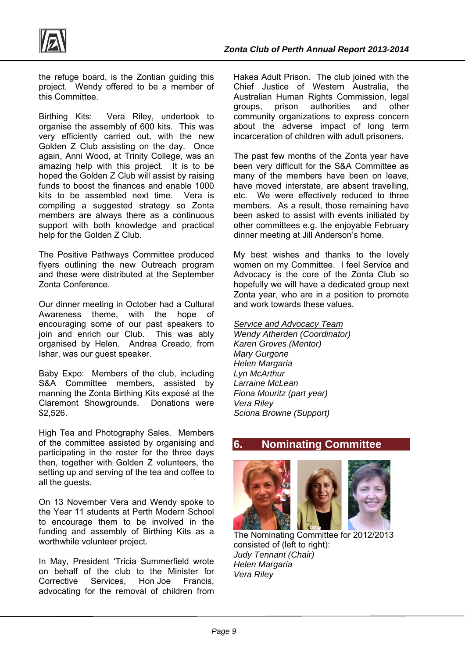

the refuge board, is the Zontian guiding this project. Wendy offered to be a member of this Committee.

Birthing Kits: Vera Riley, undertook to organise the assembly of 600 kits. This was very efficiently carried out, with the new Golden Z Club assisting on the day. Once again, Anni Wood, at Trinity College, was an amazing help with this project. It is to be hoped the Golden Z Club will assist by raising funds to boost the finances and enable 1000 kits to be assembled next time. Vera is compiling a suggested strategy so Zonta members are always there as a continuous support with both knowledge and practical help for the Golden Z Club.

The Positive Pathways Committee produced flyers outlining the new Outreach program and these were distributed at the September Zonta Conference.

Our dinner meeting in October had a Cultural Awareness theme, with the hope of encouraging some of our past speakers to join and enrich our Club. This was ably organised by Helen. Andrea Creado, from Ishar, was our guest speaker.

Baby Expo: Members of the club, including S&A Committee members, assisted by manning the Zonta Birthing Kits exposé at the Claremont Showgrounds. Donations were \$2,526.

High Tea and Photography Sales. Members of the committee assisted by organising and participating in the roster for the three days then, together with Golden Z volunteers, the setting up and serving of the tea and coffee to all the guests.

On 13 November Vera and Wendy spoke to the Year 11 students at Perth Modern School to encourage them to be involved in the funding and assembly of Birthing Kits as a worthwhile volunteer project.

In May, President 'Tricia Summerfield wrote on behalf of the club to the Minister for Corrective Services, Hon Joe Francis, advocating for the removal of children from Hakea Adult Prison. The club joined with the Chief Justice of Western Australia, the Australian Human Rights Commission, legal groups, prison authorities and other community organizations to express concern about the adverse impact of long term incarceration of children with adult prisoners.

The past few months of the Zonta year have been very difficult for the S&A Committee as many of the members have been on leave, have moved interstate, are absent travelling, etc. We were effectively reduced to three members. As a result, those remaining have been asked to assist with events initiated by other committees e.g. the enjoyable February dinner meeting at Jill Anderson's home.

My best wishes and thanks to the lovely women on my Committee. I feel Service and Advocacy is the core of the Zonta Club so hopefully we will have a dedicated group next Zonta year, who are in a position to promote and work towards these values.

#### *Service and Advocacy Team*

*Wendy Atherden (Coordinator) Karen Groves (Mentor) Mary Gurgone Helen Margaria Lyn McArthur Larraine McLean Fiona Mouritz (part year) Vera Riley Sciona Browne (Support)* 

## **6. Nominating Committee**



 The Nominating Committee for 2012/2013 consisted of (left to right): *Judy Tennant (Chair) Helen Margaria Vera Riley*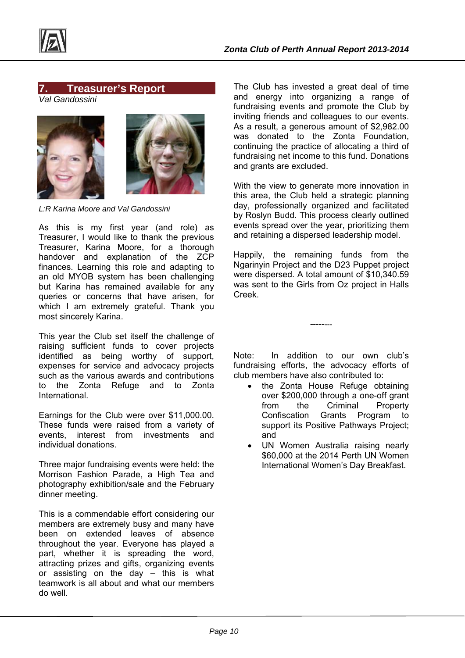

## **7. Treasurer's Report**

*Val Gandossini* 





*L:R Karina Moore and Val Gandossini* 

As this is my first year (and role) as Treasurer, I would like to thank the previous Treasurer, Karina Moore, for a thorough handover and explanation of the ZCP finances. Learning this role and adapting to an old MYOB system has been challenging but Karina has remained available for any queries or concerns that have arisen, for which I am extremely grateful. Thank you most sincerely Karina.

This year the Club set itself the challenge of raising sufficient funds to cover projects identified as being worthy of support, expenses for service and advocacy projects such as the various awards and contributions to the Zonta Refuge and to Zonta **International** 

Earnings for the Club were over \$11,000.00. These funds were raised from a variety of events, interest from investments and individual donations.

Three major fundraising events were held: the Morrison Fashion Parade, a High Tea and photography exhibition/sale and the February dinner meeting.

This is a commendable effort considering our members are extremely busy and many have been on extended leaves of absence throughout the year. Everyone has played a part, whether it is spreading the word, attracting prizes and gifts, organizing events or assisting on the day – this is what teamwork is all about and what our members do well.

The Club has invested a great deal of time and energy into organizing a range of fundraising events and promote the Club by inviting friends and colleagues to our events. As a result, a generous amount of \$2,982.00 was donated to the Zonta Foundation, continuing the practice of allocating a third of fundraising net income to this fund. Donations and grants are excluded.

With the view to generate more innovation in this area, the Club held a strategic planning day, professionally organized and facilitated by Roslyn Budd. This process clearly outlined events spread over the year, prioritizing them and retaining a dispersed leadership model.

Happily, the remaining funds from the Ngarinyin Project and the D23 Puppet project were dispersed. A total amount of \$10,340.59 was sent to the Girls from Oz project in Halls Creek.

Note: In addition to our own club's fundraising efforts, the advocacy efforts of club members have also contributed to:

--------

- the Zonta House Refuge obtaining over \$200,000 through a one-off grant from the Criminal Property Confiscation Grants Program to support its Positive Pathways Project; and
- UN Women Australia raising nearly \$60,000 at the 2014 Perth UN Women International Women's Day Breakfast.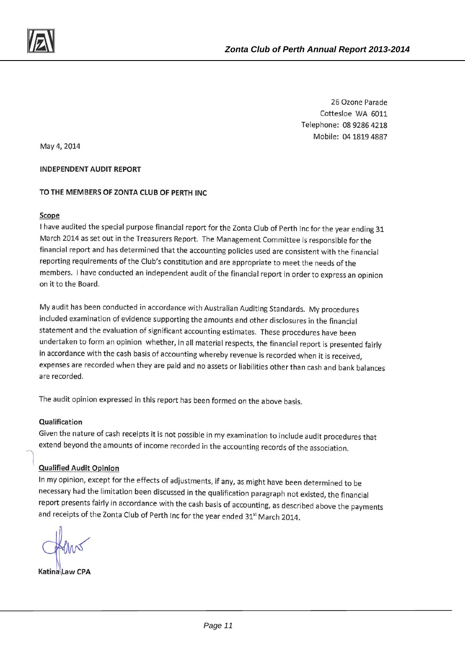26 Ozone Parade Cottesloe WA 6011 Telephone: 08 9286 4218 Mobile: 04 1819 4887

May 4, 2014

#### **INDEPENDENT AUDIT REPORT**

#### TO THE MEMBERS OF ZONTA CLUB OF PERTH INC

#### Scope

I have audited the special purpose financial report for the Zonta Club of Perth Inc for the year ending 31 March 2014 as set out in the Treasurers Report. The Management Committee is responsible for the financial report and has determined that the accounting policies used are consistent with the financial reporting requirements of the Club's constitution and are appropriate to meet the needs of the members. I have conducted an independent audit of the financial report in order to express an opinion on it to the Board.

My audit has been conducted in accordance with Australian Auditing Standards. My procedures included examination of evidence supporting the amounts and other disclosures in the financial statement and the evaluation of significant accounting estimates. These procedures have been undertaken to form an opinion whether, in all material respects, the financial report is presented fairly in accordance with the cash basis of accounting whereby revenue is recorded when it is received, expenses are recorded when they are paid and no assets or liabilities other than cash and bank balances are recorded.

The audit opinion expressed in this report has been formed on the above basis.

#### Qualification

Given the nature of cash receipts it is not possible in my examination to include audit procedures that extend beyond the amounts of income recorded in the accounting records of the association.

#### **Qualified Audit Opinion**

In my opinion, except for the effects of adjustments, if any, as might have been determined to be necessary had the limitation been discussed in the qualification paragraph not existed, the financial report presents fairly in accordance with the cash basis of accounting, as described above the payments and receipts of the Zonta Club of Perth Inc for the year ended 31<sup>st</sup> March 2014.

Katina Jaw CPA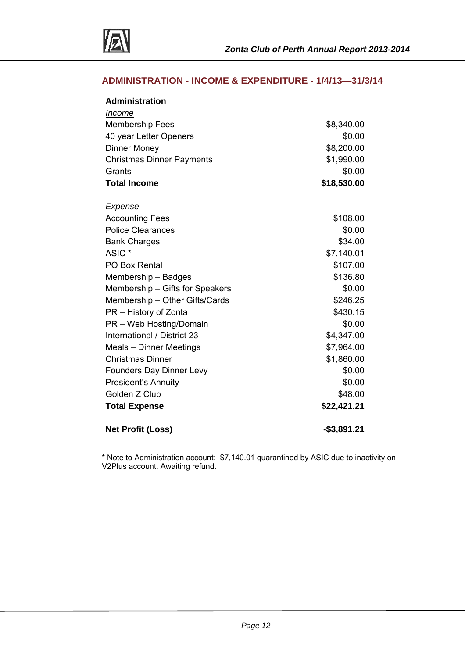

## **ADMINISTRATION - INCOME & EXPENDITURE - 1/4/13—31/3/14**

| <b>Administration</b>            |              |
|----------------------------------|--------------|
| Income                           |              |
| <b>Membership Fees</b>           | \$8,340.00   |
| 40 year Letter Openers           | \$0.00       |
| <b>Dinner Money</b>              | \$8,200.00   |
| <b>Christmas Dinner Payments</b> | \$1,990.00   |
| Grants                           | \$0.00       |
| <b>Total Income</b>              | \$18,530.00  |
| <u>Expense</u>                   |              |
| <b>Accounting Fees</b>           | \$108.00     |
| <b>Police Clearances</b>         | \$0.00       |
| <b>Bank Charges</b>              | \$34.00      |
| ASIC *                           | \$7,140.01   |
| PO Box Rental                    | \$107.00     |
| Membership - Badges              | \$136.80     |
| Membership - Gifts for Speakers  | \$0.00       |
| Membership - Other Gifts/Cards   | \$246.25     |
| PR - History of Zonta            | \$430.15     |
| PR - Web Hosting/Domain          | \$0.00       |
| International / District 23      | \$4,347.00   |
| Meals - Dinner Meetings          | \$7,964.00   |
| <b>Christmas Dinner</b>          | \$1,860.00   |
| <b>Founders Day Dinner Levy</b>  | \$0.00       |
| <b>President's Annuity</b>       | \$0.00       |
| Golden Z Club                    | \$48.00      |
| <b>Total Expense</b>             | \$22,421.21  |
| <b>Net Profit (Loss)</b>         | $-$3,891.21$ |

\* Note to Administration account: \$7,140.01 quarantined by ASIC due to inactivity on V2Plus account. Awaiting refund.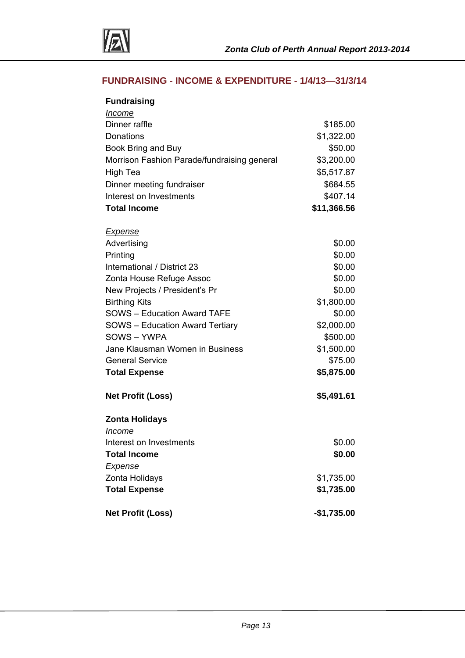

## **FUNDRAISING - INCOME & EXPENDITURE - 1/4/13—31/3/14**

| <b>Fundraising</b>                                                |                       |
|-------------------------------------------------------------------|-----------------------|
| <u>Income</u><br>Dinner raffle                                    |                       |
| Donations                                                         | \$185.00              |
|                                                                   | \$1,322.00            |
| Book Bring and Buy<br>Morrison Fashion Parade/fundraising general | \$50.00<br>\$3,200.00 |
|                                                                   | \$5,517.87            |
| High Tea                                                          |                       |
| Dinner meeting fundraiser                                         | \$684.55              |
| Interest on Investments                                           | \$407.14              |
| <b>Total Income</b>                                               | \$11,366.56           |
| <b>Expense</b>                                                    |                       |
| Advertising                                                       | \$0.00                |
| Printing                                                          | \$0.00                |
| International / District 23                                       | \$0.00                |
| Zonta House Refuge Assoc                                          | \$0.00                |
| New Projects / President's Pr                                     | \$0.00                |
| <b>Birthing Kits</b>                                              | \$1,800.00            |
| <b>SOWS - Education Award TAFE</b>                                | \$0.00                |
| <b>SOWS</b> - Education Award Tertiary                            | \$2,000.00            |
| SOWS-YWPA                                                         | \$500.00              |
| Jane Klausman Women in Business                                   | \$1,500.00            |
| <b>General Service</b>                                            | \$75.00               |
| <b>Total Expense</b>                                              | \$5,875.00            |
| <b>Net Profit (Loss)</b>                                          | \$5,491.61            |
| <b>Zonta Holidays</b>                                             |                       |
| Income                                                            |                       |
| Interest on Investments                                           | \$0.00                |
| <b>Total Income</b>                                               | \$0.00                |
| Expense                                                           |                       |
| Zonta Holidays                                                    | \$1,735.00            |
| <b>Total Expense</b>                                              | \$1,735.00            |
| <b>Net Profit (Loss)</b>                                          | $-$1,735.00$          |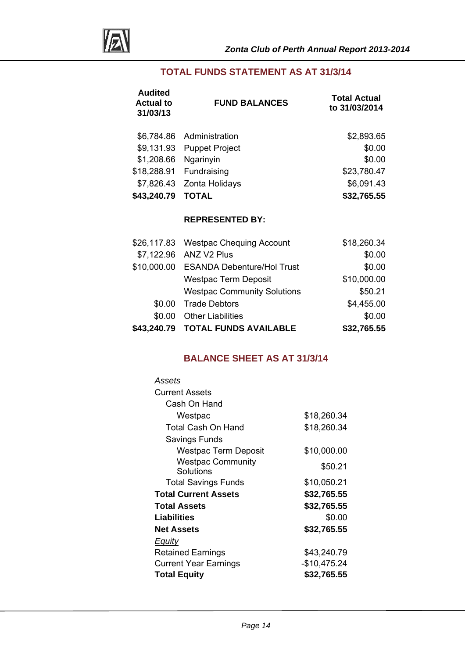

## **TOTAL FUNDS STATEMENT AS AT 31/3/14**

| <b>Audited</b><br><b>Actual to</b><br>31/03/13 | <b>FUND BALANCES</b>      | <b>Total Actual</b><br>to 31/03/2014 |  |
|------------------------------------------------|---------------------------|--------------------------------------|--|
|                                                | \$6,784.86 Administration | \$2,893.65                           |  |
| \$9,131.93                                     | <b>Puppet Project</b>     | \$0.00                               |  |
| \$1,208.66                                     | Ngarinyin                 | \$0.00                               |  |
| \$18,288.91                                    | Fundraising               | \$23,780.47                          |  |
|                                                | \$7,826.43 Zonta Holidays | \$6,091.43                           |  |
| \$43,240.79                                    | <b>TOTAL</b>              | \$32,765.55                          |  |

## **REPRESENTED BY:**

|        | \$43,240.79 TOTAL FUNDS AVAILABLE      | \$32,765.55 |
|--------|----------------------------------------|-------------|
| \$0.00 | <b>Other Liabilities</b>               | \$0.00      |
| \$0.00 | <b>Trade Debtors</b>                   | \$4,455.00  |
|        | <b>Westpac Community Solutions</b>     | \$50.21     |
|        | <b>Westpac Term Deposit</b>            | \$10,000.00 |
|        | \$10,000.00 ESANDA Debenture/Hol Trust | \$0.00      |
|        | \$7,122.96 ANZ V2 Plus                 | \$0.00      |
|        | \$26,117.83 Westpac Chequing Account   | \$18,260.34 |

## **BALANCE SHEET AS AT 31/3/14**

| Assets                                     |              |
|--------------------------------------------|--------------|
| <b>Current Assets</b>                      |              |
| Cash On Hand                               |              |
| Westpac                                    | \$18,260.34  |
| Total Cash On Hand                         | \$18,260.34  |
| Savings Funds                              |              |
| Westpac Term Deposit                       | \$10,000.00  |
| <b>Westpac Community</b>                   | \$50.21      |
| Solutions                                  |              |
| <b>Total Savings Funds</b>                 | \$10,050.21  |
| <b>Total Current Assets</b><br>\$32,765.55 |              |
| <b>Total Assets</b>                        | \$32,765.55  |
| Liabilities<br>\$0.00                      |              |
| <b>Net Assets</b>                          | \$32,765.55  |
| <b>Equity</b>                              |              |
| <b>Retained Earnings</b>                   | \$43,240.79  |
| <b>Current Year Earnings</b>               | -\$10,475.24 |
| <b>Total Equity</b>                        | \$32,765.55  |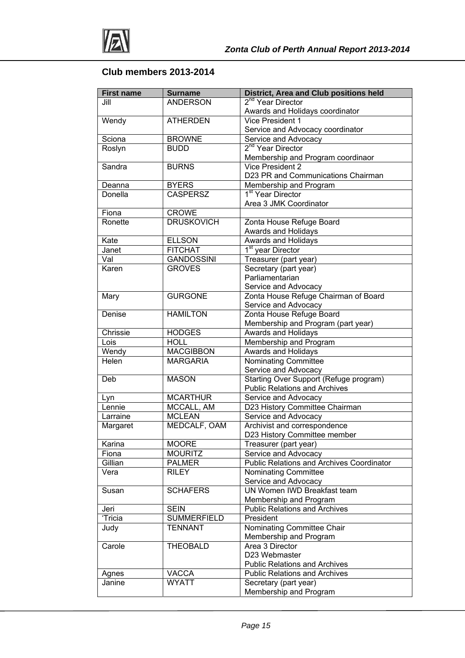

## **Club members 2013-2014**

| <b>First name</b> | <b>Surname</b>     | <b>District, Area and Club positions held</b>                                  |
|-------------------|--------------------|--------------------------------------------------------------------------------|
| Jill              | <b>ANDERSON</b>    | 2 <sup>nd</sup> Year Director                                                  |
|                   |                    | Awards and Holidays coordinator                                                |
| Wendy             | <b>ATHERDEN</b>    | Vice President 1                                                               |
|                   |                    | Service and Advocacy coordinator                                               |
| Sciona            | <b>BROWNE</b>      | Service and Advocacy                                                           |
| Roslyn            | <b>BUDD</b>        | 2 <sup>nd</sup> Year Director                                                  |
|                   |                    | Membership and Program coordinaor                                              |
| Sandra            | <b>BURNS</b>       | Vice President 2                                                               |
|                   |                    | D23 PR and Communications Chairman                                             |
| Deanna            | <b>BYERS</b>       | Membership and Program                                                         |
| Donella           | <b>CASPERSZ</b>    | 1 <sup>st</sup> Year Director                                                  |
|                   |                    | Area 3 JMK Coordinator                                                         |
| Fiona             | <b>CROWE</b>       |                                                                                |
| Ronette           | <b>DRUSKOVICH</b>  | Zonta House Refuge Board                                                       |
|                   |                    | Awards and Holidays                                                            |
| Kate              | <b>ELLSON</b>      | Awards and Holidays                                                            |
| Janet             | <b>FITCHAT</b>     | 1 <sup>st</sup> year Director                                                  |
| Val               | <b>GANDOSSINI</b>  | Treasurer (part year)                                                          |
| Karen             | <b>GROVES</b>      | Secretary (part year)                                                          |
|                   |                    | Parliamentarian                                                                |
|                   |                    | Service and Advocacy                                                           |
| Mary              | <b>GURGONE</b>     | Zonta House Refuge Chairman of Board                                           |
|                   |                    | Service and Advocacy                                                           |
| Denise            | <b>HAMILTON</b>    | Zonta House Refuge Board                                                       |
|                   |                    | Membership and Program (part year)                                             |
| Chrissie          | <b>HODGES</b>      | Awards and Holidays                                                            |
| Lois              | <b>HOLL</b>        | Membership and Program                                                         |
| Wendy             | <b>MACGIBBON</b>   | Awards and Holidays                                                            |
| <b>Helen</b>      | <b>MARGARIA</b>    | Nominating Committee                                                           |
|                   | <b>MASON</b>       | Service and Advocacy                                                           |
| Deb               |                    | Starting Over Support (Refuge program)<br><b>Public Relations and Archives</b> |
| Lyn               | <b>MCARTHUR</b>    | Service and Advocacy                                                           |
| Lennie            | MCCALL, AM         | D23 History Committee Chairman                                                 |
| Larraine          | <b>MCLEAN</b>      | Service and Advocacy                                                           |
| Margaret          | MEDCALF, OAM       | Archivist and correspondence                                                   |
|                   |                    | D23 History Committee member                                                   |
| Karina            | <b>MOORE</b>       | Treasurer (part year)                                                          |
| Fiona             | <b>MOURITZ</b>     | Service and Advocacy                                                           |
| Gillian           | <b>PALMER</b>      | <b>Public Relations and Archives Coordinator</b>                               |
| Vera              | <b>RILEY</b>       | Nominating Committee                                                           |
|                   |                    | Service and Advocacy                                                           |
| Susan             | <b>SCHAFERS</b>    | UN Women IWD Breakfast team                                                    |
|                   |                    | Membership and Program                                                         |
| Jeri              | <b>SEIN</b>        | <b>Public Relations and Archives</b>                                           |
| 'Tricia           | <b>SUMMERFIELD</b> | President                                                                      |
| Judy              | <b>TENNANT</b>     | Nominating Committee Chair                                                     |
|                   |                    | Membership and Program                                                         |
| Carole            | <b>THEOBALD</b>    | Area 3 Director                                                                |
|                   |                    | D23 Webmaster                                                                  |
|                   |                    | <b>Public Relations and Archives</b>                                           |
| Agnes             | <b>VACCA</b>       | <b>Public Relations and Archives</b>                                           |
| Janine            | <b>WYATT</b>       | Secretary (part year)                                                          |
|                   |                    | Membership and Program                                                         |